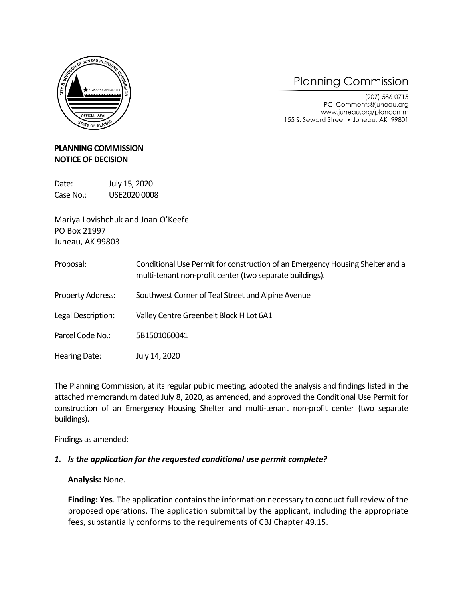

# **Planning Commission**

(907) 586-0715 PC\_Comments@juneau.org www.juneau.org/plancomm 155 S. Seward Street . Juneau, AK 99801

# **PLANNING COMMISSION NOTICE OF DECISION**

Date: July 15, 2020 Case No.: USE2020 0008

Mariya Lovishchuk and Joan O'Keefe PO Box 21997 Juneau, AK 99803

- Proposal: Conditional Use Permit for construction of an Emergency Housing Shelter and a multi-tenant non-profit center (two separate buildings).
- Property Address: Southwest Corner of Teal Street and Alpine Avenue
- Legal Description: Valley Centre Greenbelt Block H Lot 6A1
- Parcel Code No.: 5B1501060041
- Hearing Date: July 14, 2020

The Planning Commission, at its regular public meeting, adopted the analysis and findings listed in the attached memorandum dated July 8, 2020, as amended, and approved the Conditional Use Permit for construction of an Emergency Housing Shelter and multi-tenant non-profit center (two separate buildings).

Findings as amended:

# *1. Is the application for the requested conditional use permit complete?*

**Analysis:** None.

**Finding: Yes**. The application contains the information necessary to conduct full review of the proposed operations. The application submittal by the applicant, including the appropriate fees, substantially conforms to the requirements of CBJ Chapter 49.15.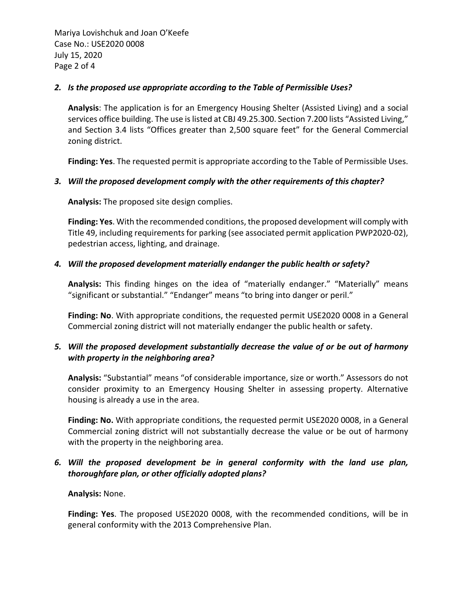Mariya Lovishchuk and Joan O'Keefe Case No.: USE2020 0008 July 15, 2020 Page 2 of 4

#### *2. Is the proposed use appropriate according to the Table of Permissible Uses?*

**Analysis**: The application is for an Emergency Housing Shelter (Assisted Living) and a social services office building. The use is listed at CBJ 49.25.300. Section 7.200 lists "Assisted Living," and Section 3.4 lists "Offices greater than 2,500 square feet" for the General Commercial zoning district.

**Finding: Yes**. The requested permit is appropriate according to the Table of Permissible Uses.

#### *3. Will the proposed development comply with the other requirements of this chapter?*

**Analysis:** The proposed site design complies.

**Finding: Yes**. With the recommended conditions, the proposed development will comply with Title 49, including requirements for parking (see associated permit application PWP2020-02), pedestrian access, lighting, and drainage.

# *4. Will the proposed development materially endanger the public health or safety?*

**Analysis:** This finding hinges on the idea of "materially endanger." "Materially" means "significant or substantial." "Endanger" means "to bring into danger or peril."

**Finding: No**. With appropriate conditions, the requested permit USE2020 0008 in a General Commercial zoning district will not materially endanger the public health or safety.

# *5. Will the proposed development substantially decrease the value of or be out of harmony with property in the neighboring area?*

**Analysis:** "Substantial" means "of considerable importance, size or worth." Assessors do not consider proximity to an Emergency Housing Shelter in assessing property. Alternative housing is already a use in the area.

**Finding: No.** With appropriate conditions, the requested permit USE2020 0008, in a General Commercial zoning district will not substantially decrease the value or be out of harmony with the property in the neighboring area.

# *6. Will the proposed development be in general conformity with the land use plan, thoroughfare plan, or other officially adopted plans?*

**Analysis:** None.

**Finding: Yes**. The proposed USE2020 0008, with the recommended conditions, will be in general conformity with the 2013 Comprehensive Plan.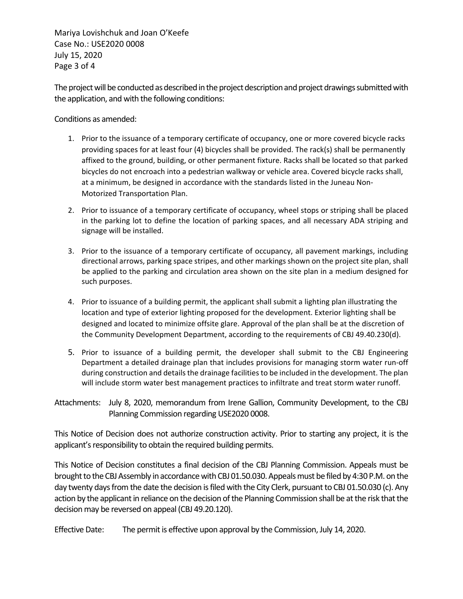Mariya Lovishchuk and Joan O'Keefe Case No.: USE2020 0008 July 15, 2020 Page 3 of 4

The project will be conducted as described in the project description and project drawings submitted with the application, and with the following conditions:

Conditions as amended:

- 1. Prior to the issuance of a temporary certificate of occupancy, one or more covered bicycle racks providing spaces for at least four (4) bicycles shall be provided. The rack(s) shall be permanently affixed to the ground, building, or other permanent fixture. Racks shall be located so that parked bicycles do not encroach into a pedestrian walkway or vehicle area. Covered bicycle racks shall, at a minimum, be designed in accordance with the standards listed in the Juneau Non-Motorized Transportation Plan.
- 2. Prior to issuance of a temporary certificate of occupancy, wheel stops or striping shall be placed in the parking lot to define the location of parking spaces, and all necessary ADA striping and signage will be installed.
- 3. Prior to the issuance of a temporary certificate of occupancy, all pavement markings, including directional arrows, parking space stripes, and other markings shown on the project site plan, shall be applied to the parking and circulation area shown on the site plan in a medium designed for such purposes.
- 4. Prior to issuance of a building permit, the applicant shall submit a lighting plan illustrating the location and type of exterior lighting proposed for the development. Exterior lighting shall be designed and located to minimize offsite glare. Approval of the plan shall be at the discretion of the Community Development Department, according to the requirements of CBJ 49.40.230(d).
- 5. Prior to issuance of a building permit, the developer shall submit to the CBJ Engineering Department a detailed drainage plan that includes provisions for managing storm water run-off during construction and details the drainage facilities to be included in the development. The plan will include storm water best management practices to infiltrate and treat storm water runoff.
- Attachments: July 8, 2020, memorandum from Irene Gallion, Community Development, to the CBJ Planning Commission regarding USE2020 0008.

This Notice of Decision does not authorize construction activity. Prior to starting any project, it is the applicant's responsibility to obtain the required building permits.

This Notice of Decision constitutes a final decision of the CBJ Planning Commission. Appeals must be brought to the CBJ Assembly in accordance with CBJ 01.50.030. Appeals must be filed by 4:30 P.M. on the day twenty days from the date the decision is filed with the City Clerk, pursuant to CBJ 01.50.030 (c). Any action by the applicant in reliance on the decision of the Planning Commission shall be at the risk that the decision may be reversed on appeal (CBJ 49.20.120).

Effective Date: The permit is effective upon approval by the Commission, July 14, 2020.